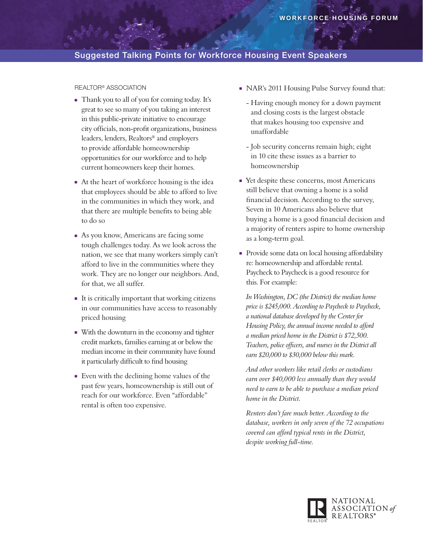## Suggested Talking Points for Workforce Housing Event Speakers

#### Realtor® Association

- <sup>n</sup> Thank you to all of you for coming today. It's great to see so many of you taking an interest in this public-private initiative to encourage city officials, non-profit organizations, business leaders, lenders, Realtors® and employers to provide affordable homeownership opportunities for our workforce and to help current homeowners keep their homes.
- n At the heart of workforce housing is the idea that employees should be able to afford to live in the communities in which they work, and that there are multiple benefits to being able to do so
- <sup>n</sup> As you know, Americans are facing some tough challenges today. As we look across the nation, we see that many workers simply can't afford to live in the communities where they work. They are no longer our neighbors. And, for that, we all suffer.
- It is critically important that working citizens in our communities have access to reasonably priced housing
- <sup>n</sup> With the downturn in the economy and tighter credit markets, families earning at or below the median income in their community have found it particularly difficult to find housing
- <sup>n</sup> Even with the declining home values of the past few years, homeownership is still out of reach for our workforce. Even "affordable" rental is often too expensive.
- NAR's 2011 Housing Pulse Survey found that:
	- Having enough money for a down payment and closing costs is the largest obstacle that makes housing too expensive and unaffordable
	- Job security concerns remain high; eight in 10 cite these issues as a barrier to homeownership
- <sup>n</sup> Yet despite these concerns, most Americans still believe that owning a home is a solid financial decision. According to the survey, Seven in 10 Americans also believe that buying a home is a good financial decision and a majority of renters aspire to home ownership as a long-term goal.
- Provide some data on local housing affordability re: homeownership and affordable rental. Paycheck to Paycheck is a good resource for this. For example:

*In Washington, DC (the District) the median home price is \$245,000. According to Paycheck to Paycheck, a national database developed by the Center for Housing Policy, the annual income needed to afford a median priced home in the District is \$72,500. Teachers, police officers, and nurses in the District all earn \$20,000 to \$30,000 below this mark.* 

 *And other workers like retail clerks or custodians earn over \$40,000 less annually than they would need to earn to be able to purchase a median priced home in the District.*

 *Renters don't fare much better. According to the database, workers in only seven of the 72 occupations covered can afford typical rents in the District, despite working full-time.*

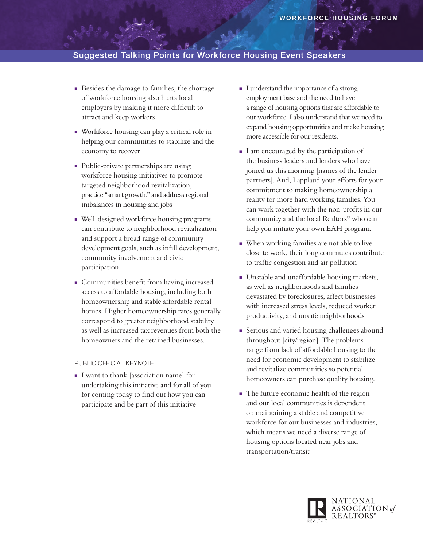## Suggested Talking Points for Workforce Housing Event Speakers

- <sup>n</sup> Besides the damage to families, the shortage of workforce housing also hurts local employers by making it more difficult to attract and keep workers
- <sup>n</sup> Workforce housing can play a critical role in helping our communities to stabilize and the economy to recover
- Public-private partnerships are using workforce housing initiatives to promote targeted neighborhood revitalization, practice "smart growth," and address regional imbalances in housing and jobs
- Well-designed workforce housing programs can contribute to neighborhood revitalization and support a broad range of community development goals, such as infill development, community involvement and civic participation
- Communities benefit from having increased access to affordable housing, including both homeownership and stable affordable rental homes. Higher homeownership rates generally correspond to greater neighborhood stability as well as increased tax revenues from both the homeowners and the retained businesses.

#### Public Official Keynote

<sup>n</sup> I want to thank [association name] for undertaking this initiative and for all of you for coming today to find out how you can participate and be part of this initiative

- <sup>n</sup> I understand the importance of a strong employment base and the need to have a range of housing options that are affordable to our workforce. I also understand that we need to expand housing opportunities and make housing more accessible for our residents.
- I am encouraged by the participation of the business leaders and lenders who have joined us this morning [names of the lender partners]. And, I applaud your efforts for your commitment to making homeownership a reality for more hard working families. You can work together with the non-profits in our community and the local Realtors® who can help you initiate your own EAH program.
- <sup>n</sup> When working families are not able to live close to work, their long commutes contribute to traffic congestion and air pollution
- <sup>n</sup> Unstable and unaffordable housing markets, as well as neighborhoods and families devastated by foreclosures, affect businesses with increased stress levels, reduced worker productivity, and unsafe neighborhoods
- **Exercise 5 Is Serious and varied housing challenges abound** throughout [city/region]. The problems range from lack of affordable housing to the need for economic development to stabilize and revitalize communities so potential homeowners can purchase quality housing.
- <sup>n</sup> The future economic health of the region and our local communities is dependent on maintaining a stable and competitive workforce for our businesses and industries, which means we need a diverse range of housing options located near jobs and transportation/transit